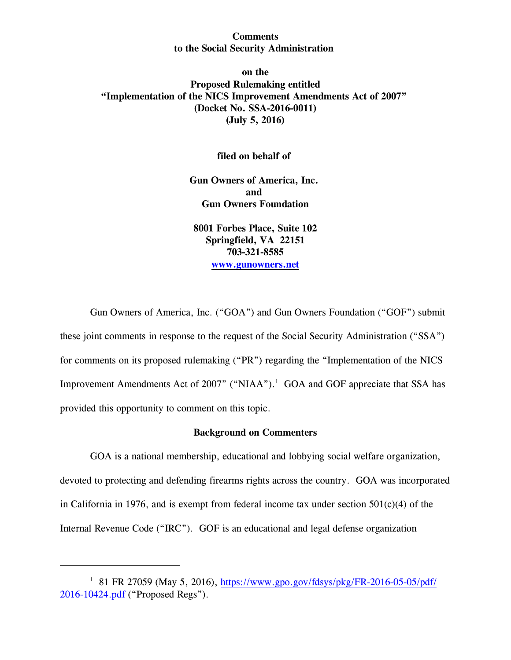### **Comments to the Social Security Administration**

## **on the Proposed Rulemaking entitled "Implementation of the NICS Improvement Amendments Act of 2007" (Docket No. SSA-2016-0011) (July 5, 2016)**

### **filed on behalf of**

**Gun Owners of America, Inc. and Gun Owners Foundation**

**8001 Forbes Place, Suite 102 Springfield, VA 22151 703-321-8585 [www.gunowners.net](http://www.gunowners.net)**

Gun Owners of America, Inc. ("GOA") and Gun Owners Foundation ("GOF") submit these joint comments in response to the request of the Social Security Administration ("SSA") for comments on its proposed rulemaking ("PR") regarding the "Implementation of the NICS Improvement Amendments Act of 2007" ("NIAA").<sup>1</sup> GOA and GOF appreciate that SSA has provided this opportunity to comment on this topic.

### **Background on Commenters**

GOA is a national membership, educational and lobbying social welfare organization, devoted to protecting and defending firearms rights across the country. GOA was incorporated in California in 1976, and is exempt from federal income tax under section  $501(c)(4)$  of the Internal Revenue Code ("IRC"). GOF is an educational and legal defense organization

<sup>&</sup>lt;sup>1</sup> 81 FR 27059 (May 5, 2016), [https://www.gpo.gov/fdsys/pkg/FR-2016-05-05/pdf/](https://www.gpo.gov/fdsys/pkg/FR-2016-05-05/pdf/2016-10424.pdf) [2016-10424.pdf](https://www.gpo.gov/fdsys/pkg/FR-2016-05-05/pdf/2016-10424.pdf) ("Proposed Regs").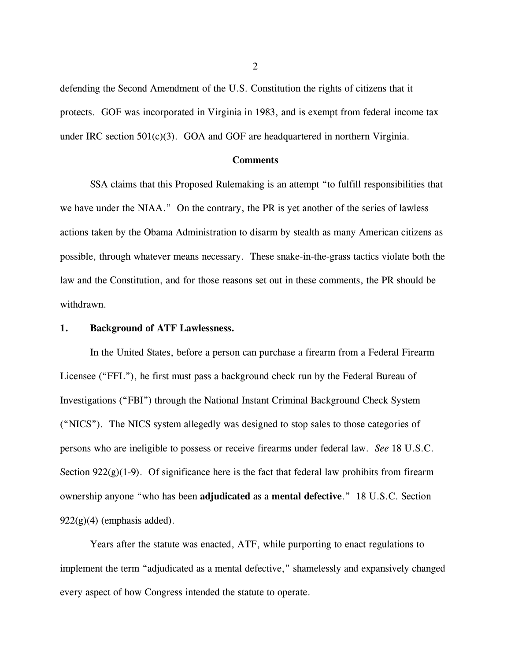defending the Second Amendment of the U.S. Constitution the rights of citizens that it protects. GOF was incorporated in Virginia in 1983, and is exempt from federal income tax under IRC section  $501(c)(3)$ . GOA and GOF are headquartered in northern Virginia.

#### **Comments**

SSA claims that this Proposed Rulemaking is an attempt "to fulfill responsibilities that we have under the NIAA." On the contrary, the PR is yet another of the series of lawless actions taken by the Obama Administration to disarm by stealth as many American citizens as possible, through whatever means necessary. These snake-in-the-grass tactics violate both the law and the Constitution, and for those reasons set out in these comments, the PR should be withdrawn.

#### **1. Background of ATF Lawlessness.**

In the United States, before a person can purchase a firearm from a Federal Firearm Licensee ("FFL"), he first must pass a background check run by the Federal Bureau of Investigations ("FBI") through the National Instant Criminal Background Check System ("NICS"). The NICS system allegedly was designed to stop sales to those categories of persons who are ineligible to possess or receive firearms under federal law. *See* 18 U.S.C. Section  $922(g)(1-9)$ . Of significance here is the fact that federal law prohibits from firearm ownership anyone "who has been **adjudicated** as a **mental defective**." 18 U.S.C. Section  $922(g)(4)$  (emphasis added).

Years after the statute was enacted, ATF, while purporting to enact regulations to implement the term "adjudicated as a mental defective," shamelessly and expansively changed every aspect of how Congress intended the statute to operate.

 $2<sup>2</sup>$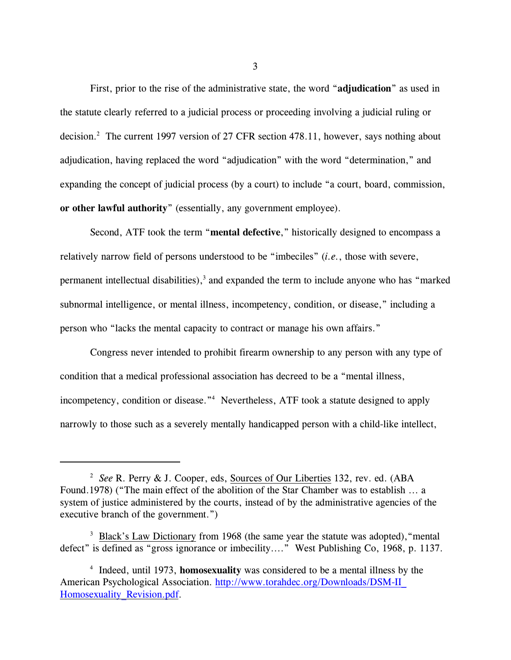First, prior to the rise of the administrative state, the word "**adjudication**" as used in the statute clearly referred to a judicial process or proceeding involving a judicial ruling or decision.<sup>2</sup> The current 1997 version of 27 CFR section 478.11, however, says nothing about adjudication, having replaced the word "adjudication" with the word "determination," and expanding the concept of judicial process (by a court) to include "a court, board, commission, **or other lawful authority**" (essentially, any government employee).

Second, ATF took the term "**mental defective**," historically designed to encompass a relatively narrow field of persons understood to be "imbeciles" (*i.e.*, those with severe, permanent intellectual disabilities), $3$  and expanded the term to include anyone who has "marked subnormal intelligence, or mental illness, incompetency, condition, or disease," including a person who "lacks the mental capacity to contract or manage his own affairs."

Congress never intended to prohibit firearm ownership to any person with any type of condition that a medical professional association has decreed to be a "mental illness, incompetency, condition or disease."<sup>4</sup> Nevertheless, ATF took a statute designed to apply narrowly to those such as a severely mentally handicapped person with a child-like intellect,

<sup>&</sup>lt;sup>2</sup> See R. Perry & J. Cooper, eds, Sources of Our Liberties 132, rev. ed. (ABA Found.1978) ("The main effect of the abolition of the Star Chamber was to establish ... a system of justice administered by the courts, instead of by the administrative agencies of the executive branch of the government.")

<sup>&</sup>lt;sup>3</sup> Black's Law Dictionary from 1968 (the same year the statute was adopted), "mental defect" is defined as "gross ignorance or imbecility...." West Publishing Co, 1968, p. 1137.

<sup>&</sup>lt;sup>4</sup> Indeed, until 1973, **homosexuality** was considered to be a mental illness by the American Psychological Association. [http://www.torahdec.org/Downloads/DSM-II\\_](http://www.torahdec.org/Downloads/DSM-II_Homosexuality_Revision.pdf) [Homosexuality\\_Revision.pdf](http://www.torahdec.org/Downloads/DSM-II_Homosexuality_Revision.pdf).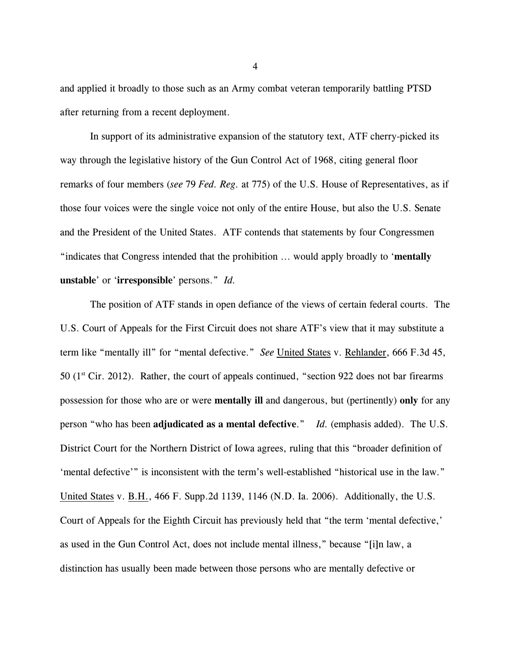and applied it broadly to those such as an Army combat veteran temporarily battling PTSD after returning from a recent deployment.

In support of its administrative expansion of the statutory text, ATF cherry-picked its way through the legislative history of the Gun Control Act of 1968, citing general floor remarks of four members (*see* 79 *Fed. Reg.* at 775) of the U.S. House of Representatives, as if those four voices were the single voice not only of the entire House, but also the U.S. Senate and the President of the United States. ATF contends that statements by four Congressmen "indicates that Congress intended that the prohibition ... would apply broadly to '**mentally unstable**' or '**irresponsible**' persons." *Id.*

The position of ATF stands in open defiance of the views of certain federal courts. The U.S. Court of Appeals for the First Circuit does not share ATF's view that it may substitute a term like "mentally ill" for "mental defective." *See* United States v. Rehlander, 666 F.3d 45, 50 ( $1<sup>st</sup> Cir. 2012$ ). Rather, the court of appeals continued, "section 922 does not bar firearms possession for those who are or were **mentally ill** and dangerous, but (pertinently) **only** for any person "who has been **adjudicated as a mental defective**." *Id.* (emphasis added). The U.S. District Court for the Northern District of Iowa agrees, ruling that this "broader definition of 'mental defective'" is inconsistent with the term's well-established "historical use in the law." United States v. B.H., 466 F. Supp.2d 1139, 1146 (N.D. Ia. 2006). Additionally, the U.S. Court of Appeals for the Eighth Circuit has previously held that "the term 'mental defective,' as used in the Gun Control Act, does not include mental illness," because "[i]n law, a distinction has usually been made between those persons who are mentally defective or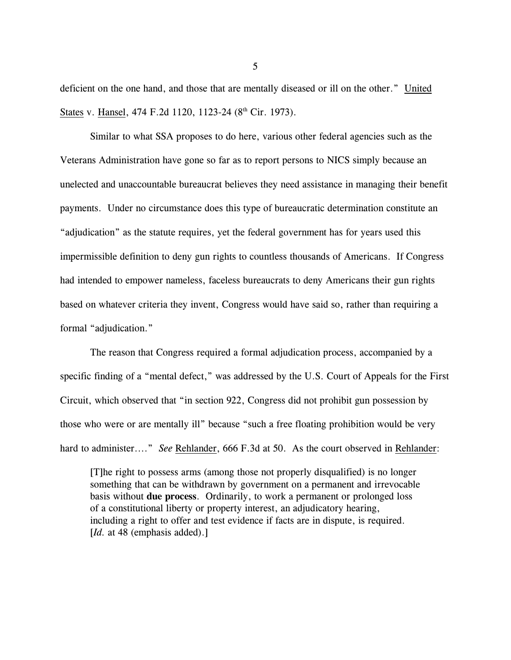deficient on the one hand, and those that are mentally diseased or ill on the other." United States v. Hansel, 474 F.2d 1120, 1123-24 (8<sup>th</sup> Cir. 1973).

Similar to what SSA proposes to do here, various other federal agencies such as the Veterans Administration have gone so far as to report persons to NICS simply because an unelected and unaccountable bureaucrat believes they need assistance in managing their benefit payments. Under no circumstance does this type of bureaucratic determination constitute an "adjudication" as the statute requires, yet the federal government has for years used this impermissible definition to deny gun rights to countless thousands of Americans. If Congress had intended to empower nameless, faceless bureaucrats to deny Americans their gun rights based on whatever criteria they invent, Congress would have said so, rather than requiring a formal "adjudication."

The reason that Congress required a formal adjudication process, accompanied by a specific finding of a "mental defect," was addressed by the U.S. Court of Appeals for the First Circuit, which observed that "in section 922, Congress did not prohibit gun possession by those who were or are mentally ill" because "such a free floating prohibition would be very hard to administer...." *See* Rehlander, 666 F.3d at 50. As the court observed in Rehlander:

[T]he right to possess arms (among those not properly disqualified) is no longer something that can be withdrawn by government on a permanent and irrevocable basis without **due process**. Ordinarily, to work a permanent or prolonged loss of a constitutional liberty or property interest, an adjudicatory hearing, including a right to offer and test evidence if facts are in dispute, is required. [*Id.* at 48 (emphasis added).]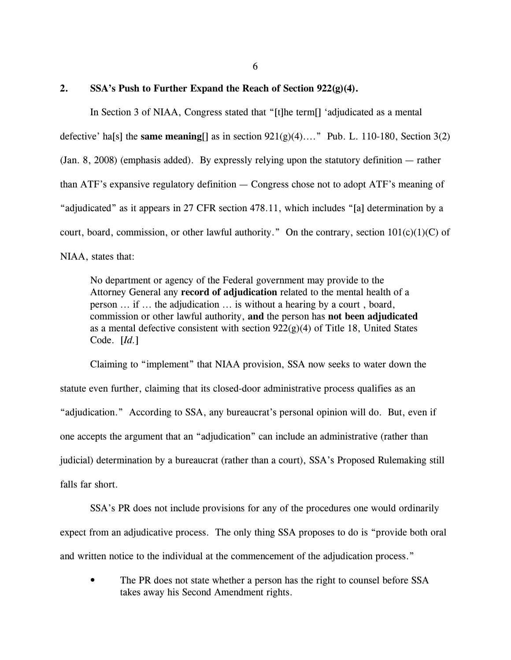6

### **2. SSA's Push to Further Expand the Reach of Section 922(g)(4).**

In Section 3 of NIAA, Congress stated that "[t]he term[] 'adjudicated as a mental defective' ha[s] the **same meaning**[] as in section 921(g)(4)...." Pub. L. 110-180, Section 3(2) (Jan. 8, 2008) (emphasis added). By expressly relying upon the statutory definition — rather than ATF's expansive regulatory definition — Congress chose not to adopt ATF's meaning of "adjudicated" as it appears in 27 CFR section 478.11, which includes "[a] determination by a court, board, commission, or other lawful authority." On the contrary, section  $101(c)(1)(C)$  of NIAA, states that:

No department or agency of the Federal government may provide to the Attorney General any **record of adjudication** related to the mental health of a person ... if ... the adjudication ... is without a hearing by a court , board, commission or other lawful authority, **and** the person has **not been adjudicated** as a mental defective consistent with section  $922(g)(4)$  of Title 18, United States Code. [*Id.*]

Claiming to "implement" that NIAA provision, SSA now seeks to water down the statute even further, claiming that its closed-door administrative process qualifies as an "adjudication." According to SSA, any bureaucrat's personal opinion will do. But, even if one accepts the argument that an "adjudication" can include an administrative (rather than judicial) determination by a bureaucrat (rather than a court), SSA's Proposed Rulemaking still falls far short.

SSA's PR does not include provisions for any of the procedures one would ordinarily expect from an adjudicative process. The only thing SSA proposes to do is "provide both oral and written notice to the individual at the commencement of the adjudication process."

• The PR does not state whether a person has the right to counsel before SSA takes away his Second Amendment rights.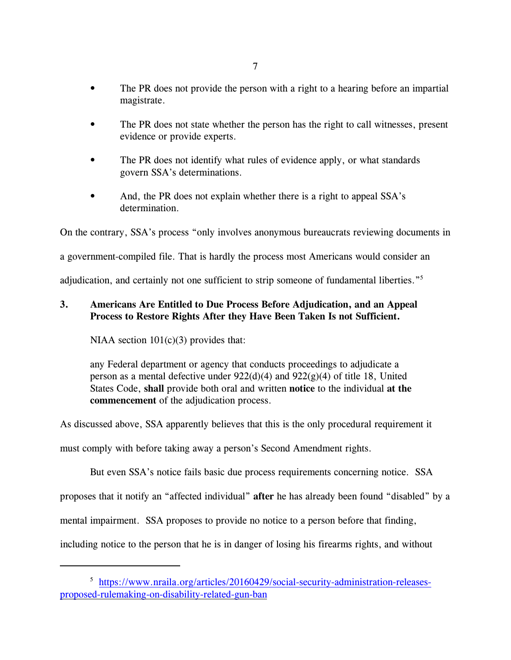- The PR does not provide the person with a right to a hearing before an impartial magistrate.
- The PR does not state whether the person has the right to call witnesses, present evidence or provide experts.
- The PR does not identify what rules of evidence apply, or what standards govern SSA's determinations.
- And, the PR does not explain whether there is a right to appeal SSA's determination.

On the contrary, SSA's process "only involves anonymous bureaucrats reviewing documents in

a government-compiled file. That is hardly the process most Americans would consider an

adjudication, and certainly not one sufficient to strip someone of fundamental liberties."<sup>5</sup>

# **3. Americans Are Entitled to Due Process Before Adjudication, and an Appeal Process to Restore Rights After they Have Been Taken Is not Sufficient.**

NIAA section  $101(c)(3)$  provides that:

any Federal department or agency that conducts proceedings to adjudicate a person as a mental defective under  $922(d)(4)$  and  $922(g)(4)$  of title 18, United States Code, **shall** provide both oral and written **notice** to the individual **at the commencement** of the adjudication process.

As discussed above, SSA apparently believes that this is the only procedural requirement it

must comply with before taking away a person's Second Amendment rights.

But even SSA's notice fails basic due process requirements concerning notice. SSA

proposes that it notify an "affected individual" **after** he has already been found "disabled" by a

mental impairment. SSA proposes to provide no notice to a person before that finding,

including notice to the person that he is in danger of losing his firearms rights, and without

<sup>&</sup>lt;sup>5</sup> [https://www.nraila.org/articles/20160429/social-security-administration-releases](https://www.nraila.org/articles/20160429/social-security-administration-releases-%20proposed-rulemaking-on-disability-related-gun-ban)[proposed-rulemaking-on-disability-related-gun-ban](https://www.nraila.org/articles/20160429/social-security-administration-releases-%20proposed-rulemaking-on-disability-related-gun-ban)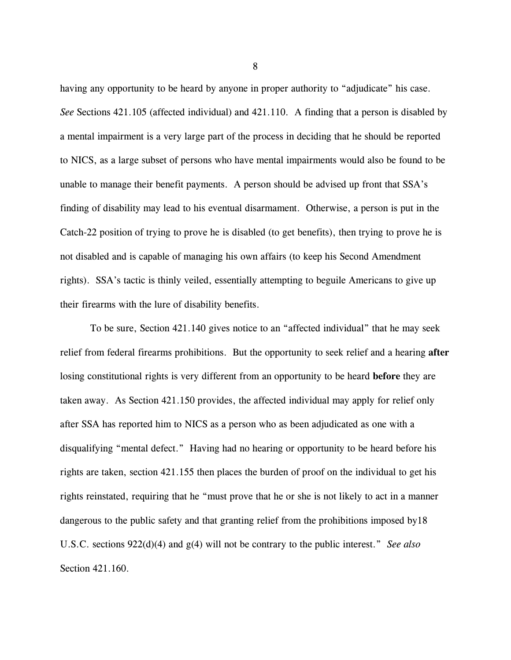having any opportunity to be heard by anyone in proper authority to "adjudicate" his case. *See* Sections 421.105 (affected individual) and 421.110. A finding that a person is disabled by a mental impairment is a very large part of the process in deciding that he should be reported to NICS, as a large subset of persons who have mental impairments would also be found to be unable to manage their benefit payments. A person should be advised up front that SSA's finding of disability may lead to his eventual disarmament. Otherwise, a person is put in the Catch-22 position of trying to prove he is disabled (to get benefits), then trying to prove he is not disabled and is capable of managing his own affairs (to keep his Second Amendment rights). SSA's tactic is thinly veiled, essentially attempting to beguile Americans to give up their firearms with the lure of disability benefits.

To be sure, Section 421.140 gives notice to an "affected individual" that he may seek relief from federal firearms prohibitions. But the opportunity to seek relief and a hearing **after** losing constitutional rights is very different from an opportunity to be heard **before** they are taken away. As Section 421.150 provides, the affected individual may apply for relief only after SSA has reported him to NICS as a person who as been adjudicated as one with a disqualifying "mental defect." Having had no hearing or opportunity to be heard before his rights are taken, section 421.155 then places the burden of proof on the individual to get his rights reinstated, requiring that he "must prove that he or she is not likely to act in a manner dangerous to the public safety and that granting relief from the prohibitions imposed by18 U.S.C. sections 922(d)(4) and g(4) will not be contrary to the public interest." *See also* Section 421.160.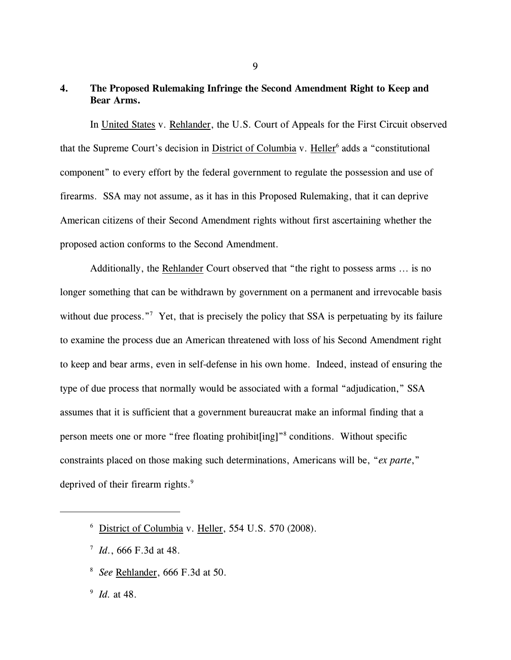## **4. The Proposed Rulemaking Infringe the Second Amendment Right to Keep and Bear Arms.**

In United States v. Rehlander, the U.S. Court of Appeals for the First Circuit observed that the Supreme Court's decision in District of Columbia v. Heller<sup>6</sup> adds a "constitutional component" to every effort by the federal government to regulate the possession and use of firearms. SSA may not assume, as it has in this Proposed Rulemaking, that it can deprive American citizens of their Second Amendment rights without first ascertaining whether the proposed action conforms to the Second Amendment.

Additionally, the Rehlander Court observed that "the right to possess arms ... is no longer something that can be withdrawn by government on a permanent and irrevocable basis without due process."<sup>7</sup> Yet, that is precisely the policy that SSA is perpetuating by its failure to examine the process due an American threatened with loss of his Second Amendment right to keep and bear arms, even in self-defense in his own home. Indeed, instead of ensuring the type of due process that normally would be associated with a formal "adjudication," SSA assumes that it is sufficient that a government bureaucrat make an informal finding that a person meets one or more "free floating prohibit[ing]"<sup>8</sup> conditions. Without specific constraints placed on those making such determinations, Americans will be, "*ex parte*," deprived of their firearm rights.<sup>9</sup>

- $\frac{7}{1}$  *Id.*, 666 F.3d at 48.
- *See* Rehlander, 666 F.3d at 50. <sup>8</sup>

<sup>9</sup> *Id.* at 48.

 $6$  District of Columbia v. Heller, 554 U.S. 570 (2008).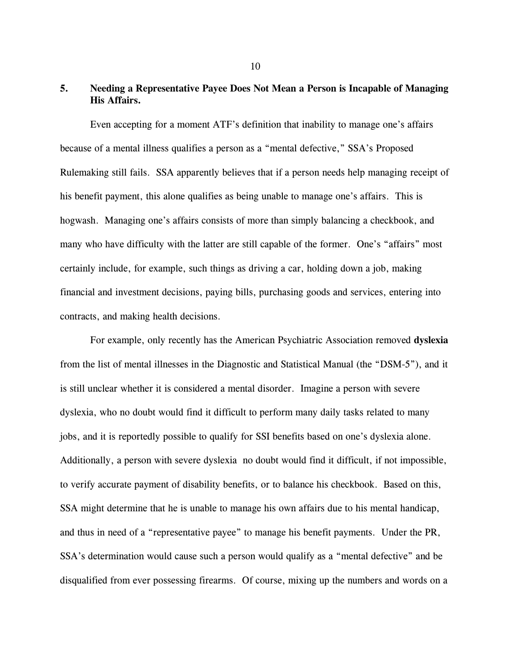# **5. Needing a Representative Payee Does Not Mean a Person is Incapable of Managing His Affairs.**

Even accepting for a moment ATF's definition that inability to manage one's affairs because of a mental illness qualifies a person as a "mental defective," SSA's Proposed Rulemaking still fails. SSA apparently believes that if a person needs help managing receipt of his benefit payment, this alone qualifies as being unable to manage one's affairs. This is hogwash. Managing one's affairs consists of more than simply balancing a checkbook, and many who have difficulty with the latter are still capable of the former. One's "affairs" most certainly include, for example, such things as driving a car, holding down a job, making financial and investment decisions, paying bills, purchasing goods and services, entering into contracts, and making health decisions.

For example, only recently has the American Psychiatric Association removed **dyslexia** from the list of mental illnesses in the Diagnostic and Statistical Manual (the "DSM-5"), and it is still unclear whether it is considered a mental disorder. Imagine a person with severe dyslexia, who no doubt would find it difficult to perform many daily tasks related to many jobs, and it is reportedly possible to qualify for SSI benefits based on one's dyslexia alone. Additionally, a person with severe dyslexia no doubt would find it difficult, if not impossible, to verify accurate payment of disability benefits, or to balance his checkbook. Based on this, SSA might determine that he is unable to manage his own affairs due to his mental handicap, and thus in need of a "representative payee" to manage his benefit payments. Under the PR, SSA's determination would cause such a person would qualify as a "mental defective" and be disqualified from ever possessing firearms. Of course, mixing up the numbers and words on a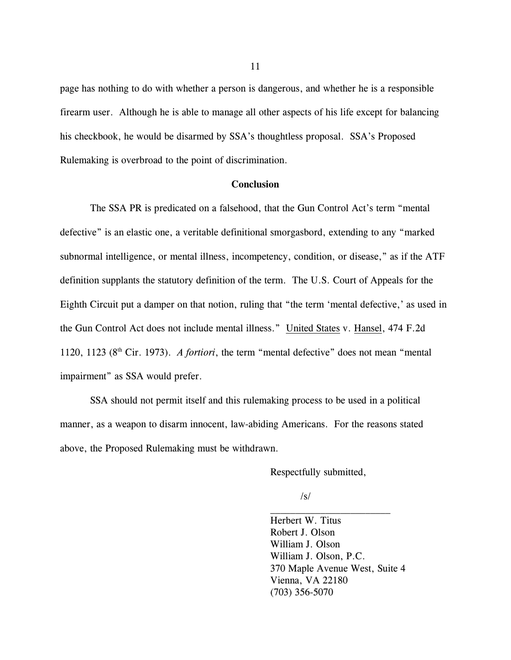page has nothing to do with whether a person is dangerous, and whether he is a responsible firearm user. Although he is able to manage all other aspects of his life except for balancing his checkbook, he would be disarmed by SSA's thoughtless proposal. SSA's Proposed Rulemaking is overbroad to the point of discrimination.

### **Conclusion**

The SSA PR is predicated on a falsehood, that the Gun Control Act's term "mental defective" is an elastic one, a veritable definitional smorgasbord, extending to any "marked subnormal intelligence, or mental illness, incompetency, condition, or disease," as if the ATF definition supplants the statutory definition of the term. The U.S. Court of Appeals for the Eighth Circuit put a damper on that notion, ruling that "the term 'mental defective,' as used in the Gun Control Act does not include mental illness." United States v. Hansel, 474 F.2d 1120, 1123 ( $8<sup>th</sup>$  Cir. 1973). *A fortiori*, the term "mental defective" does not mean "mental impairment" as SSA would prefer.

SSA should not permit itself and this rulemaking process to be used in a political manner, as a weapon to disarm innocent, law-abiding Americans. For the reasons stated above, the Proposed Rulemaking must be withdrawn.

Respectfully submitted,

/s/

Herbert W. Titus Robert J. Olson William J. Olson William J. Olson, P.C. 370 Maple Avenue West, Suite 4 Vienna, VA 22180 (703) 356-5070